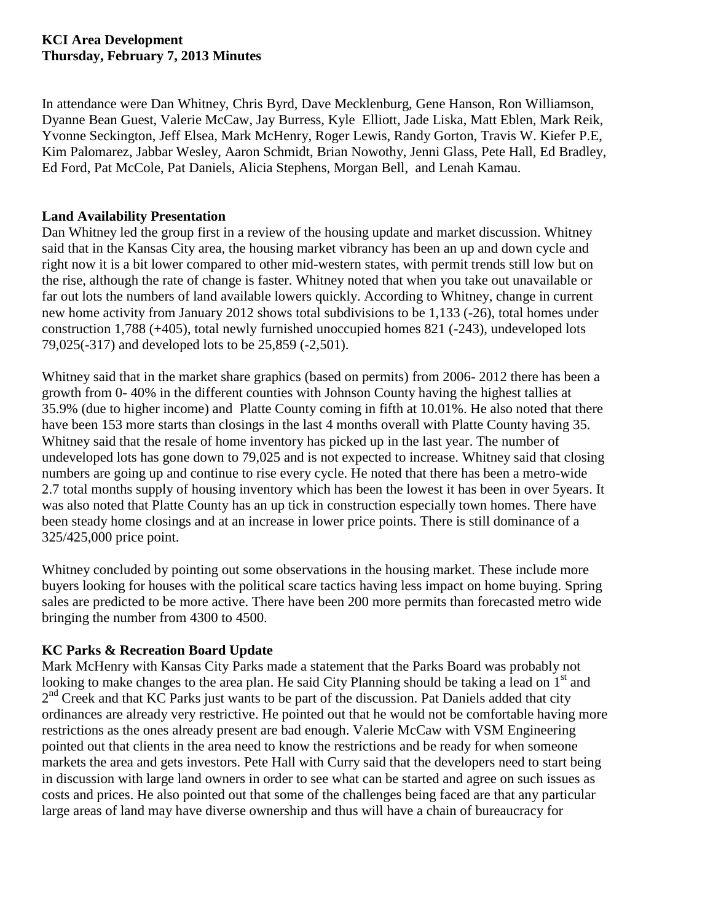## **KCI Area Development Thursday, February 7, 2013 Minutes**

In attendance were Dan Whitney, Chris Byrd, Dave Mecklenburg, Gene Hanson, Ron Williamson, Dyanne Bean Guest, Valerie McCaw, Jay Burress, Kyle Elliott, Jade Liska, Matt Eblen, Mark Reik, Yvonne Seckington, Jeff Elsea, Mark McHenry, Roger Lewis, Randy Gorton, Travis W. Kiefer P.E, Kim Palomarez, Jabbar Wesley, Aaron Schmidt, Brian Nowothy, Jenni Glass, Pete Hall, Ed Bradley, Ed Ford, Pat McCole, Pat Daniels, Alicia Stephens, Morgan Bell, and Lenah Kamau.

# **Land Availability Presentation**

Dan Whitney led the group first in a review of the housing update and market discussion. Whitney said that in the Kansas City area, the housing market vibrancy has been an up and down cycle and right now it is a bit lower compared to other mid-western states, with permit trends still low but on the rise, although the rate of change is faster. Whitney noted that when you take out unavailable or far out lots the numbers of land available lowers quickly. According to Whitney, change in current new home activity from January 2012 shows total subdivisions to be 1,133 (-26), total homes under construction 1,788 (+405), total newly furnished unoccupied homes 821 (-243), undeveloped lots 79,025(-317) and developed lots to be 25,859 (-2,501).

Whitney said that in the market share graphics (based on permits) from 2006- 2012 there has been a growth from 0- 40% in the different counties with Johnson County having the highest tallies at 35.9% (due to higher income) and Platte County coming in fifth at 10.01%. He also noted that there have been 153 more starts than closings in the last 4 months overall with Platte County having 35. Whitney said that the resale of home inventory has picked up in the last year. The number of undeveloped lots has gone down to 79,025 and is not expected to increase. Whitney said that closing numbers are going up and continue to rise every cycle. He noted that there has been a metro-wide 2.7 total months supply of housing inventory which has been the lowest it has been in over 5years. It was also noted that Platte County has an up tick in construction especially town homes. There have been steady home closings and at an increase in lower price points. There is still dominance of a 325/425,000 price point.

Whitney concluded by pointing out some observations in the housing market. These include more buyers looking for houses with the political scare tactics having less impact on home buying. Spring sales are predicted to be more active. There have been 200 more permits than forecasted metro wide bringing the number from 4300 to 4500.

# **KC Parks & Recreation Board Update**

Mark McHenry with Kansas City Parks made a statement that the Parks Board was probably not looking to make changes to the area plan. He said City Planning should be taking a lead on  $1<sup>st</sup>$  and 2<sup>nd</sup> Creek and that KC Parks just wants to be part of the discussion. Pat Daniels added that city ordinances are already very restrictive. He pointed out that he would not be comfortable having more restrictions as the ones already present are bad enough. Valerie McCaw with VSM Engineering pointed out that clients in the area need to know the restrictions and be ready for when someone markets the area and gets investors. Pete Hall with Curry said that the developers need to start being in discussion with large land owners in order to see what can be started and agree on such issues as costs and prices. He also pointed out that some of the challenges being faced are that any particular large areas of land may have diverse ownership and thus will have a chain of bureaucracy for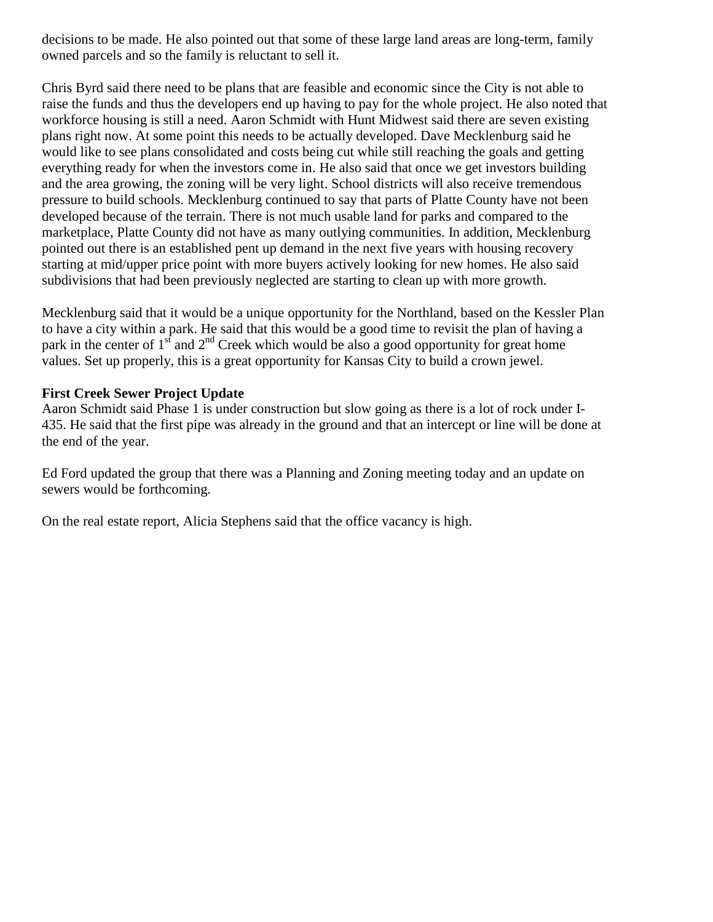decisions to be made. He also pointed out that some of these large land areas are long-term, family owned parcels and so the family is reluctant to sell it.

Chris Byrd said there need to be plans that are feasible and economic since the City is not able to raise the funds and thus the developers end up having to pay for the whole project. He also noted that workforce housing is still a need. Aaron Schmidt with Hunt Midwest said there are seven existing plans right now. At some point this needs to be actually developed. Dave Mecklenburg said he would like to see plans consolidated and costs being cut while still reaching the goals and getting everything ready for when the investors come in. He also said that once we get investors building and the area growing, the zoning will be very light. School districts will also receive tremendous pressure to build schools. Mecklenburg continued to say that parts of Platte County have not been developed because of the terrain. There is not much usable land for parks and compared to the marketplace, Platte County did not have as many outlying communities. In addition, Mecklenburg pointed out there is an established pent up demand in the next five years with housing recovery starting at mid/upper price point with more buyers actively looking for new homes. He also said subdivisions that had been previously neglected are starting to clean up with more growth.

Mecklenburg said that it would be a unique opportunity for the Northland, based on the Kessler Plan to have a city within a park. He said that this would be a good time to revisit the plan of having a park in the center of  $1<sup>st</sup>$  and  $2<sup>nd</sup>$  Creek which would be also a good opportunity for great home values. Set up properly, this is a great opportunity for Kansas City to build a crown jewel.

# **First Creek Sewer Project Update**

Aaron Schmidt said Phase 1 is under construction but slow going as there is a lot of rock under I-435. He said that the first pipe was already in the ground and that an intercept or line will be done at the end of the year.

Ed Ford updated the group that there was a Planning and Zoning meeting today and an update on sewers would be forthcoming.

On the real estate report, Alicia Stephens said that the office vacancy is high.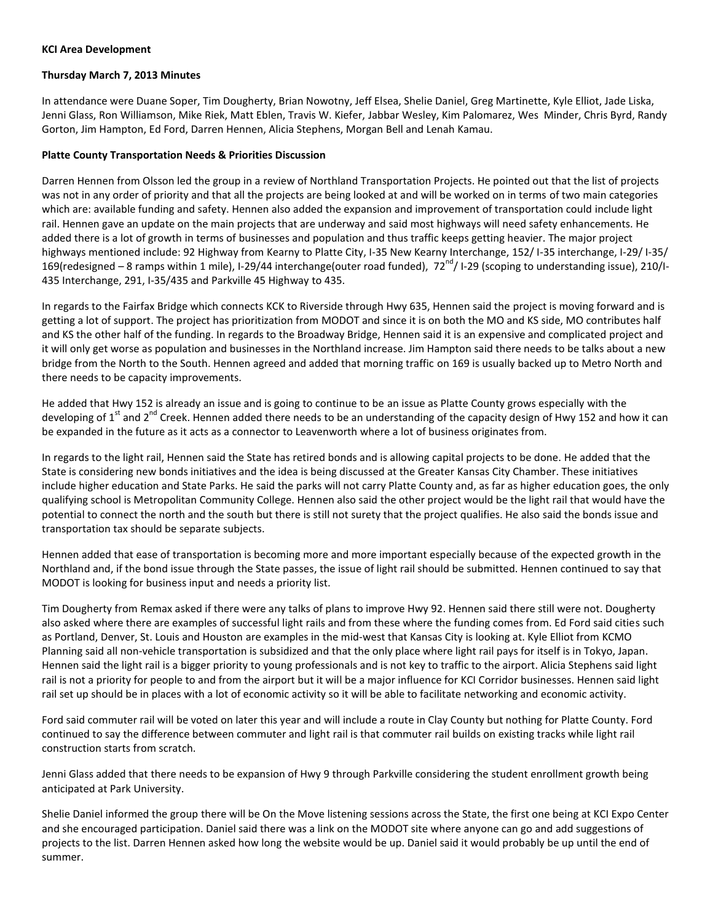#### **KCI Area Development**

### **Thursday March 7, 2013 Minutes**

In attendance were Duane Soper, Tim Dougherty, Brian Nowotny, Jeff Elsea, Shelie Daniel, Greg Martinette, Kyle Elliot, Jade Liska, Jenni Glass, Ron Williamson, Mike Riek, Matt Eblen, Travis W. Kiefer, Jabbar Wesley, Kim Palomarez, Wes Minder, Chris Byrd, Randy Gorton, Jim Hampton, Ed Ford, Darren Hennen, Alicia Stephens, Morgan Bell and Lenah Kamau.

#### **Platte County Transportation Needs & Priorities Discussion**

Darren Hennen from Olsson led the group in a review of Northland Transportation Projects. He pointed out that the list of projects was not in any order of priority and that all the projects are being looked at and will be worked on in terms of two main categories which are: available funding and safety. Hennen also added the expansion and improvement of transportation could include light rail. Hennen gave an update on the main projects that are underway and said most highways will need safety enhancements. He added there is a lot of growth in terms of businesses and population and thus traffic keeps getting heavier. The major project highways mentioned include: 92 Highway from Kearny to Platte City, I-35 New Kearny Interchange, 152/ I-35 interchange, I-29/ I-35/ 169(redesigned – 8 ramps within 1 mile), I-29/44 interchange(outer road funded),  $72^{nd}$ / I-29 (scoping to understanding issue), 210/I-435 Interchange, 291, I-35/435 and Parkville 45 Highway to 435.

In regards to the Fairfax Bridge which connects KCK to Riverside through Hwy 635, Hennen said the project is moving forward and is getting a lot of support. The project has prioritization from MODOT and since it is on both the MO and KS side, MO contributes half and KS the other half of the funding. In regards to the Broadway Bridge, Hennen said it is an expensive and complicated project and it will only get worse as population and businesses in the Northland increase. Jim Hampton said there needs to be talks about a new bridge from the North to the South. Hennen agreed and added that morning traffic on 169 is usually backed up to Metro North and there needs to be capacity improvements.

He added that Hwy 152 is already an issue and is going to continue to be an issue as Platte County grows especially with the developing of 1<sup>st</sup> and 2<sup>nd</sup> Creek. Hennen added there needs to be an understanding of the capacity design of Hwy 152 and how it can be expanded in the future as it acts as a connector to Leavenworth where a lot of business originates from.

In regards to the light rail, Hennen said the State has retired bonds and is allowing capital projects to be done. He added that the State is considering new bonds initiatives and the idea is being discussed at the Greater Kansas City Chamber. These initiatives include higher education and State Parks. He said the parks will not carry Platte County and, as far as higher education goes, the only qualifying school is Metropolitan Community College. Hennen also said the other project would be the light rail that would have the potential to connect the north and the south but there is still not surety that the project qualifies. He also said the bonds issue and transportation tax should be separate subjects.

Hennen added that ease of transportation is becoming more and more important especially because of the expected growth in the Northland and, if the bond issue through the State passes, the issue of light rail should be submitted. Hennen continued to say that MODOT is looking for business input and needs a priority list.

Tim Dougherty from Remax asked if there were any talks of plans to improve Hwy 92. Hennen said there still were not. Dougherty also asked where there are examples of successful light rails and from these where the funding comes from. Ed Ford said cities such as Portland, Denver, St. Louis and Houston are examples in the mid-west that Kansas City is looking at. Kyle Elliot from KCMO Planning said all non-vehicle transportation is subsidized and that the only place where light rail pays for itself is in Tokyo, Japan. Hennen said the light rail is a bigger priority to young professionals and is not key to traffic to the airport. Alicia Stephens said light rail is not a priority for people to and from the airport but it will be a major influence for KCI Corridor businesses. Hennen said light rail set up should be in places with a lot of economic activity so it will be able to facilitate networking and economic activity.

Ford said commuter rail will be voted on later this year and will include a route in Clay County but nothing for Platte County. Ford continued to say the difference between commuter and light rail is that commuter rail builds on existing tracks while light rail construction starts from scratch.

Jenni Glass added that there needs to be expansion of Hwy 9 through Parkville considering the student enrollment growth being anticipated at Park University.

Shelie Daniel informed the group there will be On the Move listening sessions across the State, the first one being at KCI Expo Center and she encouraged participation. Daniel said there was a link on the MODOT site where anyone can go and add suggestions of projects to the list. Darren Hennen asked how long the website would be up. Daniel said it would probably be up until the end of summer.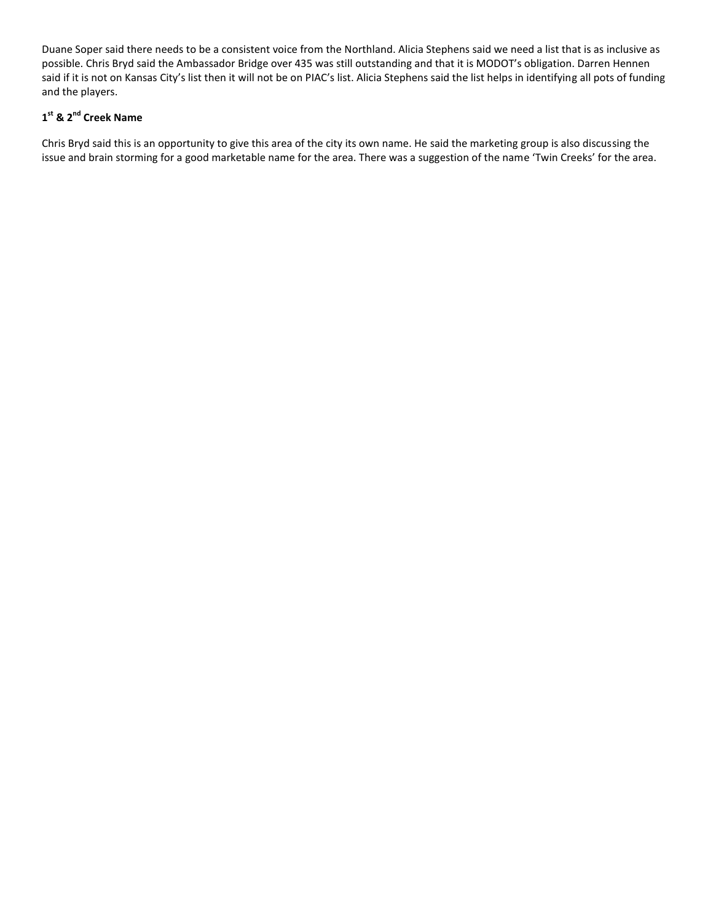Duane Soper said there needs to be a consistent voice from the Northland. Alicia Stephens said we need a list that is as inclusive as possible. Chris Bryd said the Ambassador Bridge over 435 was still outstanding and that it is MODOT's obligation. Darren Hennen said if it is not on Kansas City's list then it will not be on PIAC's list. Alicia Stephens said the list helps in identifying all pots of funding and the players.

## **1 st & 2nd Creek Name**

Chris Bryd said this is an opportunity to give this area of the city its own name. He said the marketing group is also discussing the issue and brain storming for a good marketable name for the area. There was a suggestion of the name 'Twin Creeks' for the area.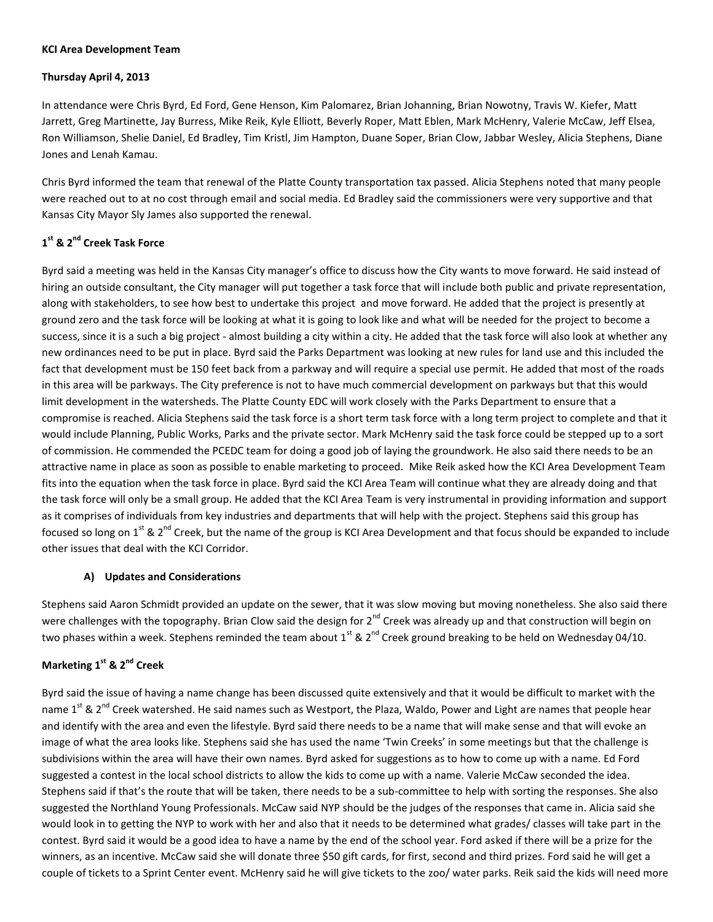#### **KCI Area Development Team**

### **Thursday April 4, 2013**

In attendance were Chris Byrd, Ed Ford, Gene Henson, Kim Palomarez, Brian Johanning, Brian Nowotny, Travis W. Kiefer, Matt Jarrett, Greg Martinette, Jay Burress, Mike Reik, Kyle Elliott, Beverly Roper, Matt Eblen, Mark McHenry, Valerie McCaw, Jeff Elsea, Ron Williamson, Shelie Daniel, Ed Bradley, Tim Kristl, Jim Hampton, Duane Soper, Brian Clow, Jabbar Wesley, Alicia Stephens, Diane Jones and Lenah Kamau.

Chris Byrd informed the team that renewal of the Platte County transportation tax passed. Alicia Stephens noted that many people were reached out to at no cost through email and social media. Ed Bradley said the commissioners were very supportive and that Kansas City Mayor Sly James also supported the renewal.

# **1 st & 2nd Creek Task Force**

Byrd said a meeting was held in the Kansas City manager's office to discuss how the City wants to move forward. He said instead of hiring an outside consultant, the City manager will put together a task force that will include both public and private representation, along with stakeholders, to see how best to undertake this project and move forward. He added that the project is presently at ground zero and the task force will be looking at what it is going to look like and what will be needed for the project to become a success, since it is a such a big project - almost building a city within a city. He added that the task force will also look at whether any new ordinances need to be put in place. Byrd said the Parks Department was looking at new rules for land use and this included the fact that development must be 150 feet back from a parkway and will require a special use permit. He added that most of the roads in this area will be parkways. The City preference is not to have much commercial development on parkways but that this would limit development in the watersheds. The Platte County EDC will work closely with the Parks Department to ensure that a compromise is reached. Alicia Stephens said the task force is a short term task force with a long term project to complete and that it would include Planning, Public Works, Parks and the private sector. Mark McHenry said the task force could be stepped up to a sort of commission. He commended the PCEDC team for doing a good job of laying the groundwork. He also said there needs to be an attractive name in place as soon as possible to enable marketing to proceed. Mike Reik asked how the KCI Area Development Team fits into the equation when the task force in place. Byrd said the KCI Area Team will continue what they are already doing and that the task force will only be a small group. He added that the KCI Area Team is very instrumental in providing information and support as it comprises of individuals from key industries and departments that will help with the project. Stephens said this group has focused so long on 1<sup>st</sup> & 2<sup>nd</sup> Creek, but the name of the group is KCI Area Development and that focus should be expanded to include other issues that deal with the KCI Corridor.

## **A) Updates and Considerations**

Stephens said Aaron Schmidt provided an update on the sewer, that it was slow moving but moving nonetheless. She also said there were challenges with the topography. Brian Clow said the design for 2<sup>nd</sup> Creek was already up and that construction will begin on two phases within a week. Stephens reminded the team about  $1^{st}$  &  $2^{nd}$  Creek ground breaking to be held on Wednesday 04/10.

## **Marketing 1st & 2nd Creek**

Byrd said the issue of having a name change has been discussed quite extensively and that it would be difficult to market with the name 1<sup>st</sup> & 2<sup>nd</sup> Creek watershed. He said names such as Westport, the Plaza, Waldo, Power and Light are names that people hear and identify with the area and even the lifestyle. Byrd said there needs to be a name that will make sense and that will evoke an image of what the area looks like. Stephens said she has used the name 'Twin Creeks' in some meetings but that the challenge is subdivisions within the area will have their own names. Byrd asked for suggestions as to how to come up with a name. Ed Ford suggested a contest in the local school districts to allow the kids to come up with a name. Valerie McCaw seconded the idea. Stephens said if that's the route that will be taken, there needs to be a sub-committee to help with sorting the responses. She also suggested the Northland Young Professionals. McCaw said NYP should be the judges of the responses that came in. Alicia said she would look in to getting the NYP to work with her and also that it needs to be determined what grades/ classes will take part in the contest. Byrd said it would be a good idea to have a name by the end of the school year. Ford asked if there will be a prize for the winners, as an incentive. McCaw said she will donate three \$50 gift cards, for first, second and third prizes. Ford said he will get a couple of tickets to a Sprint Center event. McHenry said he will give tickets to the zoo/ water parks. Reik said the kids will need more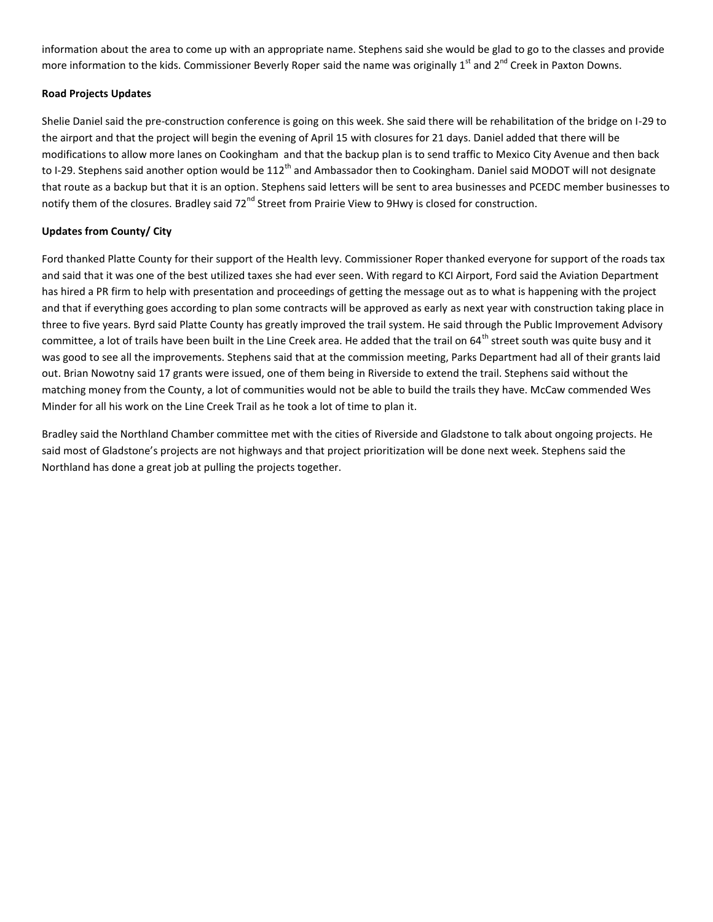information about the area to come up with an appropriate name. Stephens said she would be glad to go to the classes and provide more information to the kids. Commissioner Beverly Roper said the name was originally  $1^{st}$  and  $2^{nd}$  Creek in Paxton Downs.

### **Road Projects Updates**

Shelie Daniel said the pre-construction conference is going on this week. She said there will be rehabilitation of the bridge on I-29 to the airport and that the project will begin the evening of April 15 with closures for 21 days. Daniel added that there will be modifications to allow more lanes on Cookingham and that the backup plan is to send traffic to Mexico City Avenue and then back to I-29. Stephens said another option would be 112<sup>th</sup> and Ambassador then to Cookingham. Daniel said MODOT will not designate that route as a backup but that it is an option. Stephens said letters will be sent to area businesses and PCEDC member businesses to notify them of the closures. Bradley said 72<sup>nd</sup> Street from Prairie View to 9Hwy is closed for construction.

### **Updates from County/ City**

Ford thanked Platte County for their support of the Health levy. Commissioner Roper thanked everyone for support of the roads tax and said that it was one of the best utilized taxes she had ever seen. With regard to KCI Airport, Ford said the Aviation Department has hired a PR firm to help with presentation and proceedings of getting the message out as to what is happening with the project and that if everything goes according to plan some contracts will be approved as early as next year with construction taking place in three to five years. Byrd said Platte County has greatly improved the trail system. He said through the Public Improvement Advisory committee, a lot of trails have been built in the Line Creek area. He added that the trail on  $64^{th}$  street south was quite busy and it was good to see all the improvements. Stephens said that at the commission meeting, Parks Department had all of their grants laid out. Brian Nowotny said 17 grants were issued, one of them being in Riverside to extend the trail. Stephens said without the matching money from the County, a lot of communities would not be able to build the trails they have. McCaw commended Wes Minder for all his work on the Line Creek Trail as he took a lot of time to plan it.

Bradley said the Northland Chamber committee met with the cities of Riverside and Gladstone to talk about ongoing projects. He said most of Gladstone's projects are not highways and that project prioritization will be done next week. Stephens said the Northland has done a great job at pulling the projects together.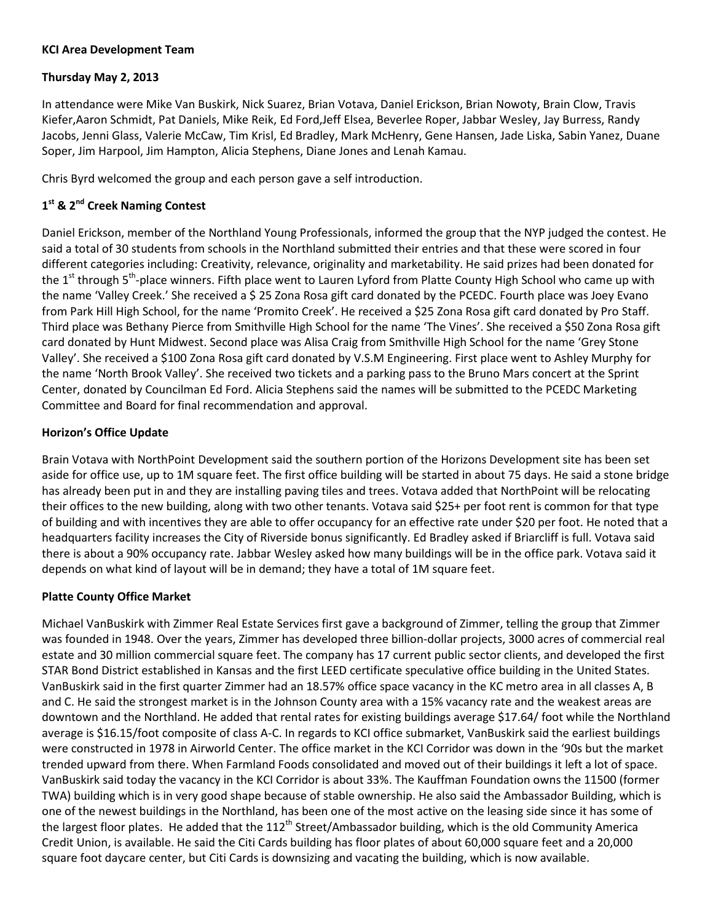## **KCI Area Development Team**

## **Thursday May 2, 2013**

In attendance were Mike Van Buskirk, Nick Suarez, Brian Votava, Daniel Erickson, Brian Nowoty, Brain Clow, Travis Kiefer,Aaron Schmidt, Pat Daniels, Mike Reik, Ed Ford,Jeff Elsea, Beverlee Roper, Jabbar Wesley, Jay Burress, Randy Jacobs, Jenni Glass, Valerie McCaw, Tim Krisl, Ed Bradley, Mark McHenry, Gene Hansen, Jade Liska, Sabin Yanez, Duane Soper, Jim Harpool, Jim Hampton, Alicia Stephens, Diane Jones and Lenah Kamau.

Chris Byrd welcomed the group and each person gave a self introduction.

# **1 st & 2nd Creek Naming Contest**

Daniel Erickson, member of the Northland Young Professionals, informed the group that the NYP judged the contest. He said a total of 30 students from schools in the Northland submitted their entries and that these were scored in four different categories including: Creativity, relevance, originality and marketability. He said prizes had been donated for the 1<sup>st</sup> through 5<sup>th</sup>-place winners. Fifth place went to Lauren Lyford from Platte County High School who came up with the name 'Valley Creek.' She received a \$ 25 Zona Rosa gift card donated by the PCEDC. Fourth place was Joey Evano from Park Hill High School, for the name 'Promito Creek'. He received a \$25 Zona Rosa gift card donated by Pro Staff. Third place was Bethany Pierce from Smithville High School for the name 'The Vines'. She received a \$50 Zona Rosa gift card donated by Hunt Midwest. Second place was Alisa Craig from Smithville High School for the name 'Grey Stone Valley'. She received a \$100 Zona Rosa gift card donated by V.S.M Engineering. First place went to Ashley Murphy for the name 'North Brook Valley'. She received two tickets and a parking pass to the Bruno Mars concert at the Sprint Center, donated by Councilman Ed Ford. Alicia Stephens said the names will be submitted to the PCEDC Marketing Committee and Board for final recommendation and approval.

## **Horizon's Office Update**

Brain Votava with NorthPoint Development said the southern portion of the Horizons Development site has been set aside for office use, up to 1M square feet. The first office building will be started in about 75 days. He said a stone bridge has already been put in and they are installing paving tiles and trees. Votava added that NorthPoint will be relocating their offices to the new building, along with two other tenants. Votava said \$25+ per foot rent is common for that type of building and with incentives they are able to offer occupancy for an effective rate under \$20 per foot. He noted that a headquarters facility increases the City of Riverside bonus significantly. Ed Bradley asked if Briarcliff is full. Votava said there is about a 90% occupancy rate. Jabbar Wesley asked how many buildings will be in the office park. Votava said it depends on what kind of layout will be in demand; they have a total of 1M square feet.

## **Platte County Office Market**

Michael VanBuskirk with Zimmer Real Estate Services first gave a background of Zimmer, telling the group that Zimmer was founded in 1948. Over the years, Zimmer has developed three billion-dollar projects, 3000 acres of commercial real estate and 30 million commercial square feet. The company has 17 current public sector clients, and developed the first STAR Bond District established in Kansas and the first LEED certificate speculative office building in the United States. VanBuskirk said in the first quarter Zimmer had an 18.57% office space vacancy in the KC metro area in all classes A, B and C. He said the strongest market is in the Johnson County area with a 15% vacancy rate and the weakest areas are downtown and the Northland. He added that rental rates for existing buildings average \$17.64/ foot while the Northland average is \$16.15/foot composite of class A-C. In regards to KCI office submarket, VanBuskirk said the earliest buildings were constructed in 1978 in Airworld Center. The office market in the KCI Corridor was down in the '90s but the market trended upward from there. When Farmland Foods consolidated and moved out of their buildings it left a lot of space. VanBuskirk said today the vacancy in the KCI Corridor is about 33%. The Kauffman Foundation owns the 11500 (former TWA) building which is in very good shape because of stable ownership. He also said the Ambassador Building, which is one of the newest buildings in the Northland, has been one of the most active on the leasing side since it has some of the largest floor plates. He added that the  $112^{th}$  Street/Ambassador building, which is the old Community America Credit Union, is available. He said the Citi Cards building has floor plates of about 60,000 square feet and a 20,000 square foot daycare center, but Citi Cards is downsizing and vacating the building, which is now available.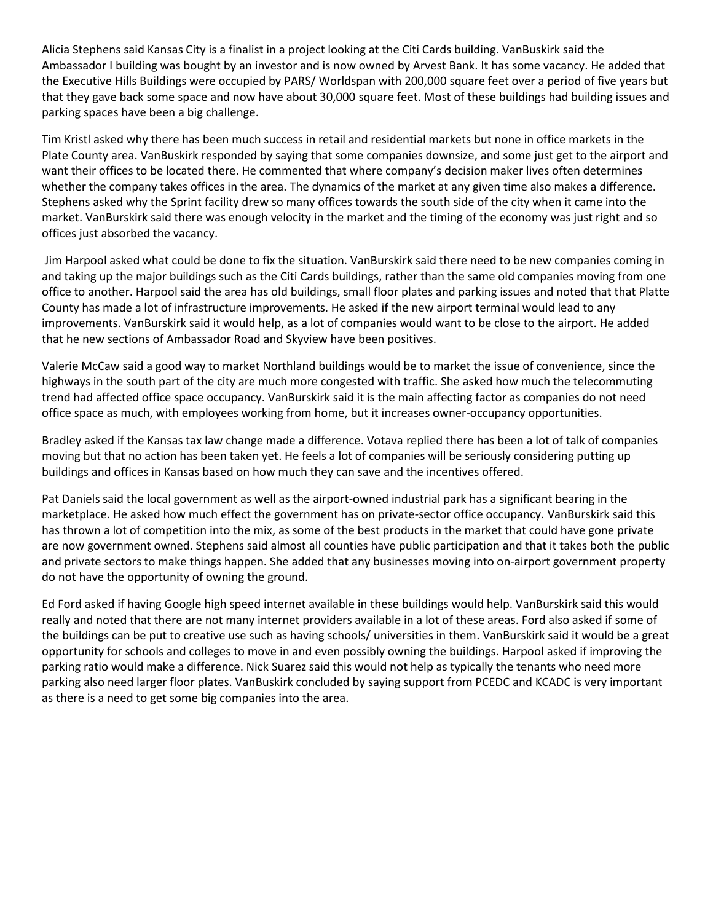Alicia Stephens said Kansas City is a finalist in a project looking at the Citi Cards building. VanBuskirk said the Ambassador I building was bought by an investor and is now owned by Arvest Bank. It has some vacancy. He added that the Executive Hills Buildings were occupied by PARS/ Worldspan with 200,000 square feet over a period of five years but that they gave back some space and now have about 30,000 square feet. Most of these buildings had building issues and parking spaces have been a big challenge.

Tim Kristl asked why there has been much success in retail and residential markets but none in office markets in the Plate County area. VanBuskirk responded by saying that some companies downsize, and some just get to the airport and want their offices to be located there. He commented that where company's decision maker lives often determines whether the company takes offices in the area. The dynamics of the market at any given time also makes a difference. Stephens asked why the Sprint facility drew so many offices towards the south side of the city when it came into the market. VanBurskirk said there was enough velocity in the market and the timing of the economy was just right and so offices just absorbed the vacancy.

Jim Harpool asked what could be done to fix the situation. VanBurskirk said there need to be new companies coming in and taking up the major buildings such as the Citi Cards buildings, rather than the same old companies moving from one office to another. Harpool said the area has old buildings, small floor plates and parking issues and noted that that Platte County has made a lot of infrastructure improvements. He asked if the new airport terminal would lead to any improvements. VanBurskirk said it would help, as a lot of companies would want to be close to the airport. He added that he new sections of Ambassador Road and Skyview have been positives.

Valerie McCaw said a good way to market Northland buildings would be to market the issue of convenience, since the highways in the south part of the city are much more congested with traffic. She asked how much the telecommuting trend had affected office space occupancy. VanBurskirk said it is the main affecting factor as companies do not need office space as much, with employees working from home, but it increases owner-occupancy opportunities.

Bradley asked if the Kansas tax law change made a difference. Votava replied there has been a lot of talk of companies moving but that no action has been taken yet. He feels a lot of companies will be seriously considering putting up buildings and offices in Kansas based on how much they can save and the incentives offered.

Pat Daniels said the local government as well as the airport-owned industrial park has a significant bearing in the marketplace. He asked how much effect the government has on private-sector office occupancy. VanBurskirk said this has thrown a lot of competition into the mix, as some of the best products in the market that could have gone private are now government owned. Stephens said almost all counties have public participation and that it takes both the public and private sectors to make things happen. She added that any businesses moving into on-airport government property do not have the opportunity of owning the ground.

Ed Ford asked if having Google high speed internet available in these buildings would help. VanBurskirk said this would really and noted that there are not many internet providers available in a lot of these areas. Ford also asked if some of the buildings can be put to creative use such as having schools/ universities in them. VanBurskirk said it would be a great opportunity for schools and colleges to move in and even possibly owning the buildings. Harpool asked if improving the parking ratio would make a difference. Nick Suarez said this would not help as typically the tenants who need more parking also need larger floor plates. VanBuskirk concluded by saying support from PCEDC and KCADC is very important as there is a need to get some big companies into the area.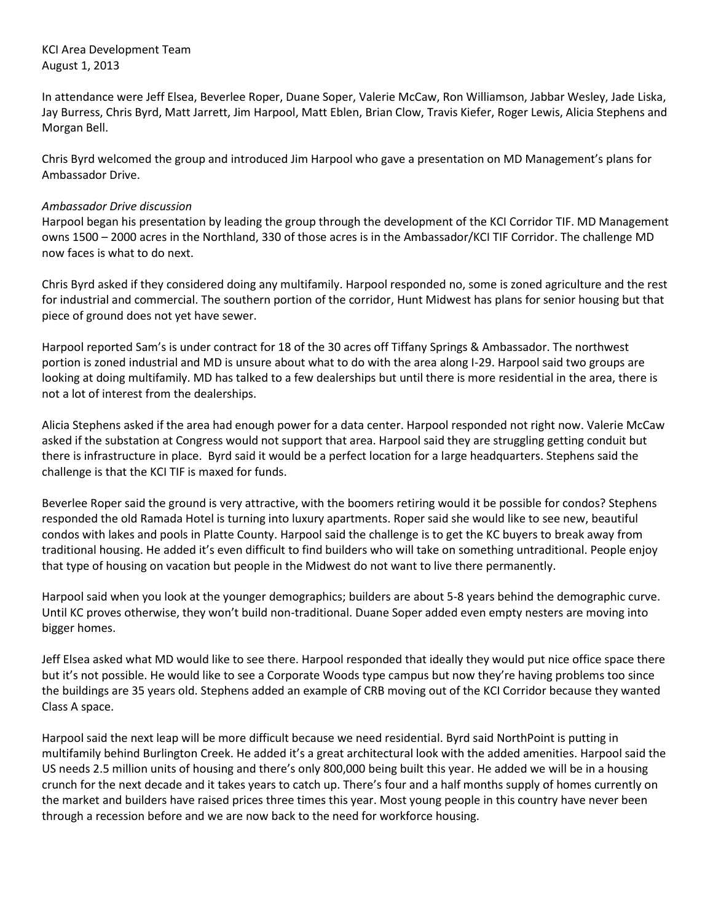KCI Area Development Team August 1, 2013

In attendance were Jeff Elsea, Beverlee Roper, Duane Soper, Valerie McCaw, Ron Williamson, Jabbar Wesley, Jade Liska, Jay Burress, Chris Byrd, Matt Jarrett, Jim Harpool, Matt Eblen, Brian Clow, Travis Kiefer, Roger Lewis, Alicia Stephens and Morgan Bell.

Chris Byrd welcomed the group and introduced Jim Harpool who gave a presentation on MD Management's plans for Ambassador Drive.

### *Ambassador Drive discussion*

Harpool began his presentation by leading the group through the development of the KCI Corridor TIF. MD Management owns 1500 – 2000 acres in the Northland, 330 of those acres is in the Ambassador/KCI TIF Corridor. The challenge MD now faces is what to do next.

Chris Byrd asked if they considered doing any multifamily. Harpool responded no, some is zoned agriculture and the rest for industrial and commercial. The southern portion of the corridor, Hunt Midwest has plans for senior housing but that piece of ground does not yet have sewer.

Harpool reported Sam's is under contract for 18 of the 30 acres off Tiffany Springs & Ambassador. The northwest portion is zoned industrial and MD is unsure about what to do with the area along I-29. Harpool said two groups are looking at doing multifamily. MD has talked to a few dealerships but until there is more residential in the area, there is not a lot of interest from the dealerships.

Alicia Stephens asked if the area had enough power for a data center. Harpool responded not right now. Valerie McCaw asked if the substation at Congress would not support that area. Harpool said they are struggling getting conduit but there is infrastructure in place. Byrd said it would be a perfect location for a large headquarters. Stephens said the challenge is that the KCI TIF is maxed for funds.

Beverlee Roper said the ground is very attractive, with the boomers retiring would it be possible for condos? Stephens responded the old Ramada Hotel is turning into luxury apartments. Roper said she would like to see new, beautiful condos with lakes and pools in Platte County. Harpool said the challenge is to get the KC buyers to break away from traditional housing. He added it's even difficult to find builders who will take on something untraditional. People enjoy that type of housing on vacation but people in the Midwest do not want to live there permanently.

Harpool said when you look at the younger demographics; builders are about 5-8 years behind the demographic curve. Until KC proves otherwise, they won't build non-traditional. Duane Soper added even empty nesters are moving into bigger homes.

Jeff Elsea asked what MD would like to see there. Harpool responded that ideally they would put nice office space there but it's not possible. He would like to see a Corporate Woods type campus but now they're having problems too since the buildings are 35 years old. Stephens added an example of CRB moving out of the KCI Corridor because they wanted Class A space.

Harpool said the next leap will be more difficult because we need residential. Byrd said NorthPoint is putting in multifamily behind Burlington Creek. He added it's a great architectural look with the added amenities. Harpool said the US needs 2.5 million units of housing and there's only 800,000 being built this year. He added we will be in a housing crunch for the next decade and it takes years to catch up. There's four and a half months supply of homes currently on the market and builders have raised prices three times this year. Most young people in this country have never been through a recession before and we are now back to the need for workforce housing.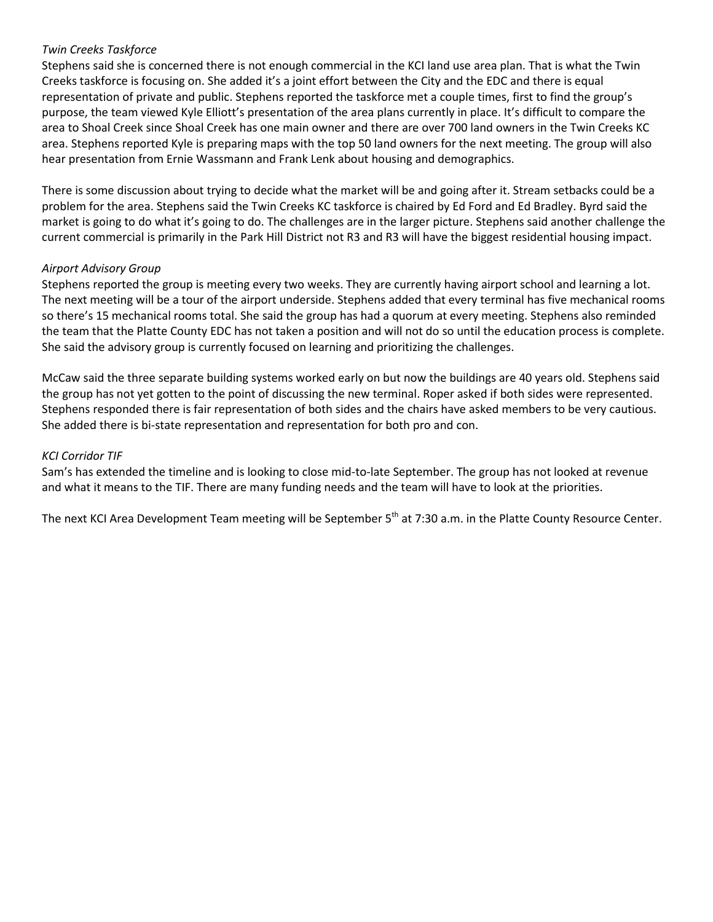## *Twin Creeks Taskforce*

Stephens said she is concerned there is not enough commercial in the KCI land use area plan. That is what the Twin Creeks taskforce is focusing on. She added it's a joint effort between the City and the EDC and there is equal representation of private and public. Stephens reported the taskforce met a couple times, first to find the group's purpose, the team viewed Kyle Elliott's presentation of the area plans currently in place. It's difficult to compare the area to Shoal Creek since Shoal Creek has one main owner and there are over 700 land owners in the Twin Creeks KC area. Stephens reported Kyle is preparing maps with the top 50 land owners for the next meeting. The group will also hear presentation from Ernie Wassmann and Frank Lenk about housing and demographics.

There is some discussion about trying to decide what the market will be and going after it. Stream setbacks could be a problem for the area. Stephens said the Twin Creeks KC taskforce is chaired by Ed Ford and Ed Bradley. Byrd said the market is going to do what it's going to do. The challenges are in the larger picture. Stephens said another challenge the current commercial is primarily in the Park Hill District not R3 and R3 will have the biggest residential housing impact.

## *Airport Advisory Group*

Stephens reported the group is meeting every two weeks. They are currently having airport school and learning a lot. The next meeting will be a tour of the airport underside. Stephens added that every terminal has five mechanical rooms so there's 15 mechanical rooms total. She said the group has had a quorum at every meeting. Stephens also reminded the team that the Platte County EDC has not taken a position and will not do so until the education process is complete. She said the advisory group is currently focused on learning and prioritizing the challenges.

McCaw said the three separate building systems worked early on but now the buildings are 40 years old. Stephens said the group has not yet gotten to the point of discussing the new terminal. Roper asked if both sides were represented. Stephens responded there is fair representation of both sides and the chairs have asked members to be very cautious. She added there is bi-state representation and representation for both pro and con.

## *KCI Corridor TIF*

Sam's has extended the timeline and is looking to close mid-to-late September. The group has not looked at revenue and what it means to the TIF. There are many funding needs and the team will have to look at the priorities.

The next KCI Area Development Team meeting will be September 5<sup>th</sup> at 7:30 a.m. in the Platte County Resource Center.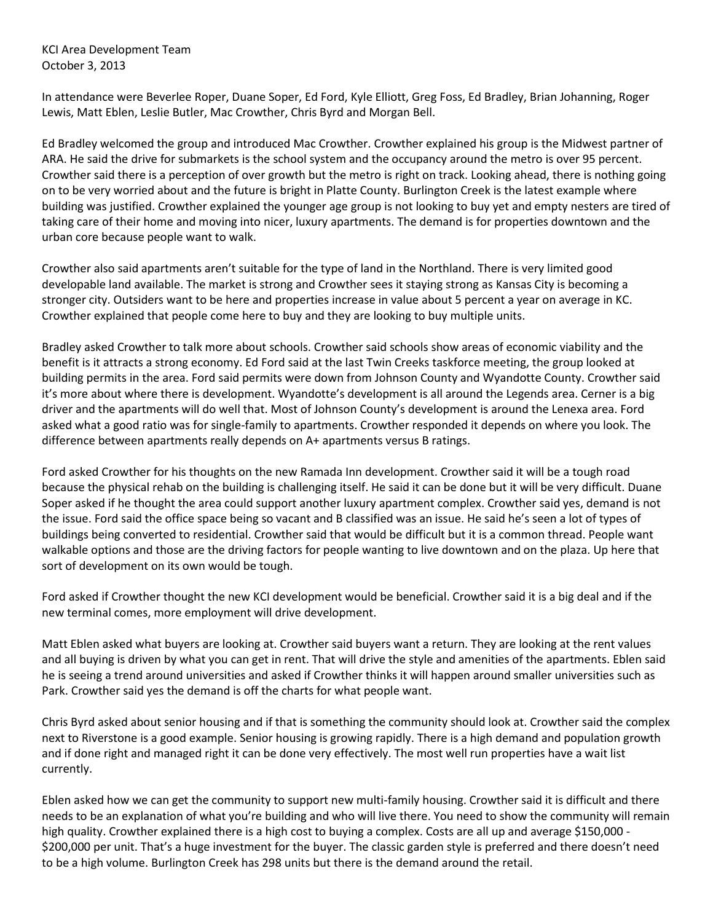KCI Area Development Team October 3, 2013

In attendance were Beverlee Roper, Duane Soper, Ed Ford, Kyle Elliott, Greg Foss, Ed Bradley, Brian Johanning, Roger Lewis, Matt Eblen, Leslie Butler, Mac Crowther, Chris Byrd and Morgan Bell.

Ed Bradley welcomed the group and introduced Mac Crowther. Crowther explained his group is the Midwest partner of ARA. He said the drive for submarkets is the school system and the occupancy around the metro is over 95 percent. Crowther said there is a perception of over growth but the metro is right on track. Looking ahead, there is nothing going on to be very worried about and the future is bright in Platte County. Burlington Creek is the latest example where building was justified. Crowther explained the younger age group is not looking to buy yet and empty nesters are tired of taking care of their home and moving into nicer, luxury apartments. The demand is for properties downtown and the urban core because people want to walk.

Crowther also said apartments aren't suitable for the type of land in the Northland. There is very limited good developable land available. The market is strong and Crowther sees it staying strong as Kansas City is becoming a stronger city. Outsiders want to be here and properties increase in value about 5 percent a year on average in KC. Crowther explained that people come here to buy and they are looking to buy multiple units.

Bradley asked Crowther to talk more about schools. Crowther said schools show areas of economic viability and the benefit is it attracts a strong economy. Ed Ford said at the last Twin Creeks taskforce meeting, the group looked at building permits in the area. Ford said permits were down from Johnson County and Wyandotte County. Crowther said it's more about where there is development. Wyandotte's development is all around the Legends area. Cerner is a big driver and the apartments will do well that. Most of Johnson County's development is around the Lenexa area. Ford asked what a good ratio was for single-family to apartments. Crowther responded it depends on where you look. The difference between apartments really depends on A+ apartments versus B ratings.

Ford asked Crowther for his thoughts on the new Ramada Inn development. Crowther said it will be a tough road because the physical rehab on the building is challenging itself. He said it can be done but it will be very difficult. Duane Soper asked if he thought the area could support another luxury apartment complex. Crowther said yes, demand is not the issue. Ford said the office space being so vacant and B classified was an issue. He said he's seen a lot of types of buildings being converted to residential. Crowther said that would be difficult but it is a common thread. People want walkable options and those are the driving factors for people wanting to live downtown and on the plaza. Up here that sort of development on its own would be tough.

Ford asked if Crowther thought the new KCI development would be beneficial. Crowther said it is a big deal and if the new terminal comes, more employment will drive development.

Matt Eblen asked what buyers are looking at. Crowther said buyers want a return. They are looking at the rent values and all buying is driven by what you can get in rent. That will drive the style and amenities of the apartments. Eblen said he is seeing a trend around universities and asked if Crowther thinks it will happen around smaller universities such as Park. Crowther said yes the demand is off the charts for what people want.

Chris Byrd asked about senior housing and if that is something the community should look at. Crowther said the complex next to Riverstone is a good example. Senior housing is growing rapidly. There is a high demand and population growth and if done right and managed right it can be done very effectively. The most well run properties have a wait list currently.

Eblen asked how we can get the community to support new multi-family housing. Crowther said it is difficult and there needs to be an explanation of what you're building and who will live there. You need to show the community will remain high quality. Crowther explained there is a high cost to buying a complex. Costs are all up and average \$150,000 - \$200,000 per unit. That's a huge investment for the buyer. The classic garden style is preferred and there doesn't need to be a high volume. Burlington Creek has 298 units but there is the demand around the retail.